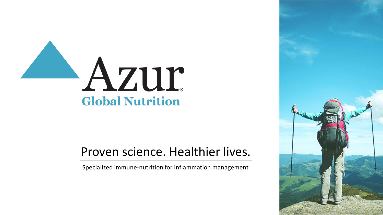

## Proven science. Healthier lives.

Specialized immune-nutrition for inflammation management

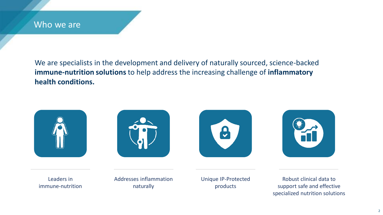## Who we are

We are specialists in the development and delivery of naturally sourced, science-backed **immune-nutrition solutions** to help address the increasing challenge of **inflammatory health conditions.**









Leaders in immune-nutrition Addresses inflammation naturally

Unique IP-Protected products

Robust clinical data to support safe and effective specialized nutrition solutions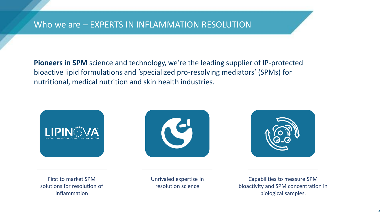**Pioneers in SPM** science and technology, we're the leading supplier of IP-protected bioactive lipid formulations and 'specialized pro-resolving mediators' (SPMs) for nutritional, medical nutrition and skin health industries.



First to market SPM solutions for resolution of inflammation





Unrivaled expertise in resolution science

Capabilities to measure SPM bioactivity and SPM concentration in biological samples.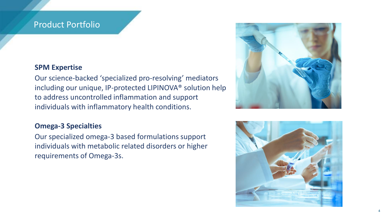## Product Portfolio

## **SPM Expertise**

Our science-backed 'specialized pro-resolving' mediators including our unique, IP-protected LIPINOVA® solution help to address uncontrolled inflammation and support individuals with inflammatory health conditions.

## **Omega-3 Specialties**

Our specialized omega-3 based formulations support individuals with metabolic related disorders or higher requirements of Omega-3s.



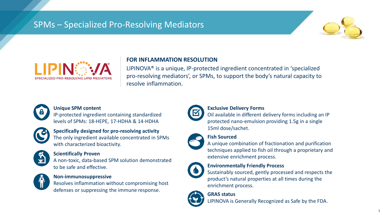## SPMs – Specialized Pro-Resolving Mediators





## **FOR INFLAMMATION RESOLUTION**

LIPINOVA® is a unique, IP-protected ingredient concentrated in 'specialized pro-resolving mediators', or SPMs, to support the body's natural capacity to resolve inflammation.



#### **Unique SPM content**

IP-protected ingredient containing standardized levels of SPMs: 18-HEPE, 17-HDHA & 14-HDHA



## **Specifically designed for pro-resolving activity**

The only ingredient available concentrated in SPMs with characterized bioactivity.



### **Scientifically Proven**

A non-toxic, data-based SPM solution demonstrated to be safe and effective.



#### **Non-immunosuppressive**

Resolves inflammation without compromising host defenses or suppressing the immune response.



#### **Exclusive Delivery Forms**

Oil available in different delivery forms including an IP protected nano-emulsion providing 1.5g in a single 15ml dose/sachet.

## **Fish Sourced**

A unique combination of fractionation and purification techniques applied to fish oil through a proprietary and extensive enrichment process.



### **Environmentally Friendly Process**

Sustainably sourced, gently processed and respects the product's natural properties at all times during the enrichment process.



**GRAS status**

LIPINOVA is Generally Recognized as Safe by the FDA.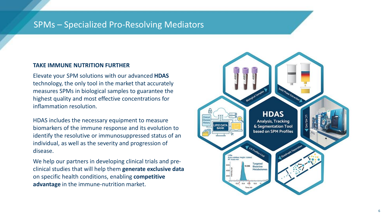## SPMs – Specialized Pro-Resolving Mediators

## **TAKE IMMUNE NUTRITION FURTHER**

Elevate your SPM solutions with our advanced **HDAS** technology, the only tool in the market that accurately measures SPMs in biological samples to guarantee the highest quality and most effective concentrations for inflammation resolution.

HDAS includes the necessary equipment to measure biomarkers of the immune response and its evolution to identify the resolutive or immunosuppressed status of an individual, as well as the severity and progression of disease.

We help our partners in developing clinical trials and preclinical studies that will help them **generate exclusive data**  on specific health conditions, enabling **competitive advantage** in the immune-nutrition market.

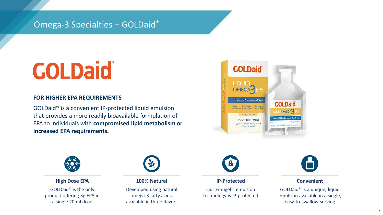## Omega-3 Specialties – GOLDaid®

## **COLDaid**

### **FOR HIGHER EPA REQUIREMENTS**

GOLDaid® is a convenient IP-protected liquid emulsion that provides a more readily bioavailable formulation of EPA to individuals with **compromised lipid metabolism or increased EPA requirements.**





**High Dose EPA**

GOLDaid® is the only product offering 3g EPA in a single 20 ml dose



**100% Natural**

Developed using natural omega-3 fatty acids, available in three flavors



**IP-Protected**

Our Emugel™ emulsion technology is IP-protected



#### **Convenient**

GOLDaid® is a unique, liquid emulsion available in a single, easy-to-swallow serving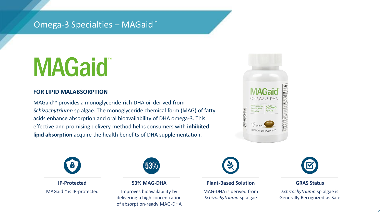## Omega-3 Specialties – MAGaid™

# **MAGaid**

## **FOR LIPID MALABSORPTION**

MAGaid™ provides a monoglyceride-rich DHA oil derived from *Schizochytriumn* sp algae. The monoglyceride chemical form (MAG) of fatty acids enhance absorption and oral bioavailability of DHA omega-3. This effective and promising delivery method helps consumers with **inhibited lipid absorption** acquire the health benefits of DHA supplementation.





**IP-Protected** MAGaid™ is IP-protected



#### **53% MAG-DHA**

Improves bioavailability by delivering a high concentration of absorption-ready MAG-DHA



#### **Plant-Based Solution**

MAG-DHA is derived from *Schizochytriumn* sp algae



### **GRAS Status**

*Schizochytriumn* sp algae is Generally Recognized as Safe